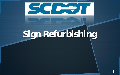

## Sign Refurbishing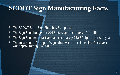#### **SCDOT Sign Manufacturing Facts**

- The SCDOT State Sign Shop has 8 employees.
- The Sign Shop budget for 2017-18 is approximately \$2.1 million.
- The Sign Shop manufactured approximately 73,680 signs last fiscal year.
- The total square footage of signs that were refurbished last fiscal year was approximately 160,000.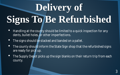# **Delivery of Signs To Be Refurbished**

- Handling at the county should be limited to a quick inspection for any dents, bullet holes, or other imperfections.
- The signs should be stacked and banded on a pallet.
- The county should inform the State Sign shop that the refurbished signs are ready for pick up.
- The Supply Depot picks up the sign blanks on their return trip from each county.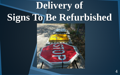## **Delivery of Signs To Be Refurbished**

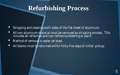#### **Refurbishing Process**

- Stripping and cleaning both sides of the flat sheet of aluminum.
- All non aluminum material must be removed by stripping process. This includes all reflective and non-reflective sheeting or paint.
- Method of removal is water-jet blast.
- All blanks must be returned within forty-five days of initial pickup.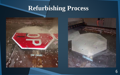#### **Refurbishing Process**



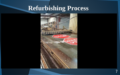#### **Refurbishing Process**

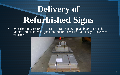## Delivery of **Refurbished Signs**

• Once the signs are returned to the State Sign Shop, an inventory of the banded and palletized signs is conducted to verify that all signs have been returned.

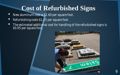#### **Cost of Refurbished Signs**

- New aluminum cost is \$2.60 per square foot.
- Refurbishing costs \$1.15 per square foot.
- The estimated additional cost for handling of the refurbished signs is \$0.05 per square foot.

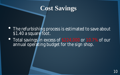#### **Cost Savings**

- The refurbishing process is estimated to save about \$1.40 a square foot.
- Total savings in excess of \$224,000 or 10.7% of our annual operating budget for the sign shop.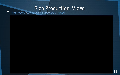### Sign Production Video

 $66$